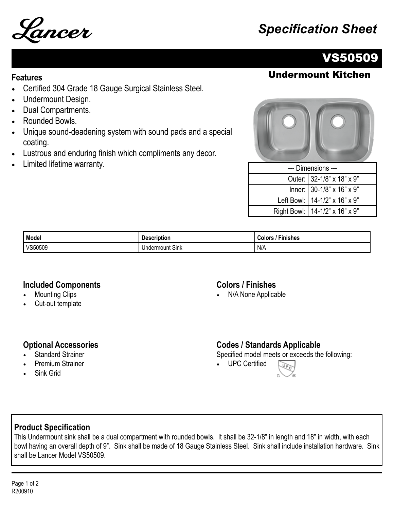

# Lancer *Specification Sheet*

# VS50509

## **Features** Undermount Kitchen

- Certified 304 Grade 18 Gauge Surgical Stainless Steel.
- Undermount Design.
- Dual Compartments.
- Rounded Bowls.
- Unique sound-deadening system with sound pads and a special coating.
- Lustrous and enduring finish which compliments any decor.
- Limited lifetime warranty.



| --- Dimensions --- |                                  |  |
|--------------------|----------------------------------|--|
|                    | Outer: 32-1/8" x 18" x 9"        |  |
|                    | Inner: 30-1/8" x 16" x 9"        |  |
|                    | Left Bowl:   14-1/2" x 16" x 9"  |  |
|                    | Right Bowl:   14-1/2" x 16" x 9" |  |

| Model   | . .<br><b>Description</b> | <b>Finishes</b><br>`olorب |
|---------|---------------------------|---------------------------|
| VS50509 | t Sink<br>Jndermount :    | N/A                       |

#### **Included Components**

- **Mounting Clips**
- Cut-out template

#### **Colors / Finishes**

• N/A None Applicable

#### **Optional Accessories**

- **Standard Strainer**
- Premium Strainer
- Sink Grid

### **Codes / Standards Applicable**

Specified model meets or exceeds the following:

• UPC Certified



### **Product Specification**

This Undermount sink shall be a dual compartment with rounded bowls. It shall be 32-1/8" in length and 18" in width, with each bowl having an overall depth of 9". Sink shall be made of 18 Gauge Stainless Steel. Sink shall include installation hardware. Sink shall be Lancer Model VS50509.